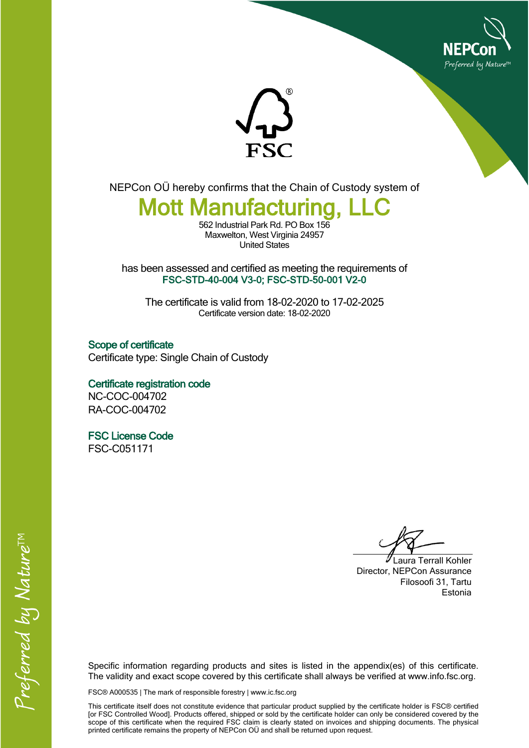



NEPCon OÜ hereby confirms that the Chain of Custody system of

## **Mott Manufacturing**

562 Industrial Park Rd. PO Box 156 Maxwelton, West Virginia 24957 United States

has been assessed and certified as meeting the requirements of **FSC-STD-40-004 V3-0; FSC-STD-50-001 V2-0**

The certificate is valid from 18-02-2020 to 17-02-2025 Certificate version date: 18-02-2020

**Scope of certificate** Certificate type: Single Chain of Custody

**Certificate registration code** NC-COC-004702 RA-COC-004702

**FSC License Code**

FSC-C051171

Laura Terrall Kohler Director, NEPCon Assurance Filosoofi 31, Tartu Estonia

Specific information regarding products and sites is listed in the appendix(es) of this certificate. The validity and exact scope covered by this certificate shall always be verified at www.info.fsc.org.

FSC® A000535 | The mark of responsible forestry | www.ic.fsc.org

This certificate itself does not constitute evidence that particular product supplied by the certificate holder is FSC® certified [or FSC Controlled Wood]. Products offered, shipped or sold by the certificate holder can only be considered covered by the scope of this certificate when the required FSC claim is clearly stated on invoices and shipping documents. The physical printed certificate remains the property of NEPCon OÜ and shall be returned upon request.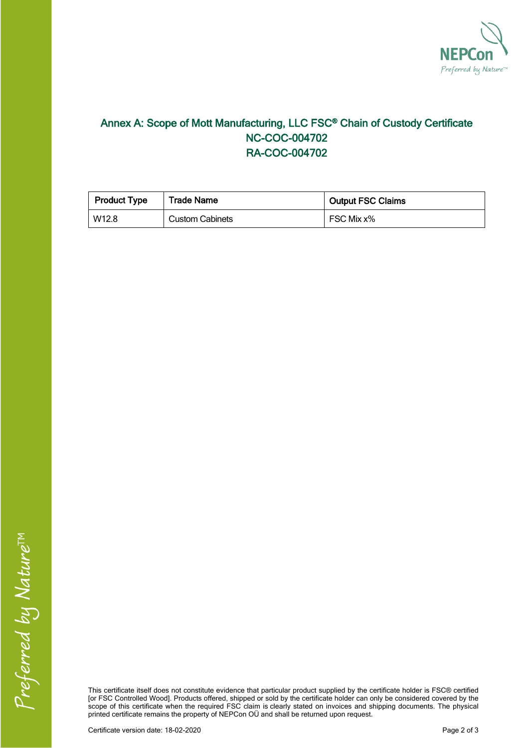

## **Annex A: Scope of Mott Manufacturing, LLC FSC® Chain of Custody Certificate NC-COC-004702 RA-COC-004702**

| <b>Product Type</b> | <b>Trade Name</b>      | <b>Output FSC Claims</b> |  |
|---------------------|------------------------|--------------------------|--|
| W12.8               | <b>Custom Cabinets</b> | FSC Mix x%               |  |

This certificate itself does not constitute evidence that particular product supplied by the certificate holder is FSC® certified [or FSC Controlled Wood]. Products offered, shipped or sold by the certificate holder can only be considered covered by the scope of this certificate when the required FSC claim is clearly stated on invoices and shipping documents. The physical printed certificate remains the property of NEPCon OÜ and shall be returned upon request.